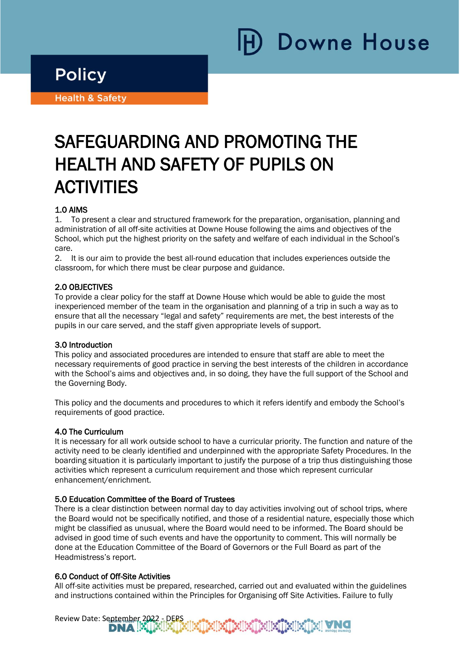# Downe House

### **Policy**

i

Ī

**Health & Safety** 

## SAFEGUARDING AND PROMOTING THE HEALTH AND SAFETY OF PUPILS ON **ACTIVITIES**

#### 1.0 AIMS

1. To present a clear and structured framework for the preparation, organisation, planning and administration of all off-site activities at Downe House following the aims and objectives of the School, which put the highest priority on the safety and welfare of each individual in the School's care.

2. It is our aim to provide the best all-round education that includes experiences outside the classroom, for which there must be clear purpose and guidance.

#### 2.0 OBJECTIVES

To provide a clear policy for the staff at Downe House which would be able to guide the most inexperienced member of the team in the organisation and planning of a trip in such a way as to ensure that all the necessary "legal and safety" requirements are met, the best interests of the pupils in our care served, and the staff given appropriate levels of support.

#### 3.0 Introduction

This policy and associated procedures are intended to ensure that staff are able to meet the necessary requirements of good practice in serving the best interests of the children in accordance with the School's aims and objectives and, in so doing, they have the full support of the School and the Governing Body.

This policy and the documents and procedures to which it refers identify and embody the School's requirements of good practice.

#### 4.0 The Curriculum

It is necessary for all work outside school to have a curricular priority. The function and nature of the activity need to be clearly identified and underpinned with the appropriate Safety Procedures. In the boarding situation it is particularly important to justify the purpose of a trip thus distinguishing those activities which represent a curriculum requirement and those which represent curricular enhancement/enrichment.

#### 5.0 Education Committee of the Board of Trustees

There is a clear distinction between normal day to day activities involving out of school trips, where the Board would not be specifically notified, and those of a residential nature, especially those which might be classified as unusual, where the Board would need to be informed. The Board should be advised in good time of such events and have the opportunity to comment. This will normally be done at the Education Committee of the Board of Governors or the Full Board as part of the Headmistress's report.

#### 6.0 Conduct of Off-Site Activities

All off-site activities must be prepared, researched, carried out and evaluated within the guidelines and instructions contained within the Principles for Organising off Site Activities. Failure to fully

Review Date: September 2022 - DEPS